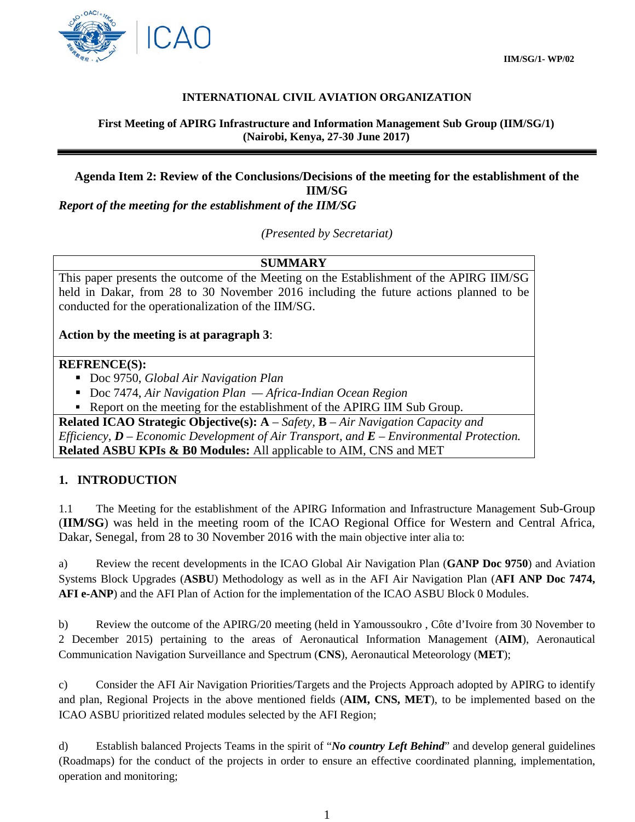

### **INTERNATIONAL CIVIL AVIATION ORGANIZATION**

**First Meeting of APIRG Infrastructure and Information Management Sub Group (IIM/SG/1) (Nairobi, Kenya, 27-30 June 2017)**

# **Agenda Item 2: Review of the Conclusions/Decisions of the meeting for the establishment of the IIM/SG**

*Report of the meeting for the establishment of the IIM/SG*

*(Presented by Secretariat)*

## **SUMMARY**

This paper presents the outcome of the Meeting on the Establishment of the APIRG IIM/SG held in Dakar, from 28 to 30 November 2016 including the future actions planned to be conducted for the operationalization of the IIM/SG.

### **Action by the meeting is at paragraph 3**:

#### **REFRENCE(S):**

- Doc 9750, *Global Air Navigation Plan*
- Doc 7474, *Air Navigation Plan Africa-Indian Ocean Region*
- Report on the meeting for the establishment of the APIRG IIM Sub Group.

**Related ICAO Strategic Objective(s): A** – *Safety,* **B** – *Air Navigation Capacity and Efficiency, D – Economic Development of Air Transport, and E – Environmental Protection.* **Related ASBU KPIs & B0 Modules:** All applicable to AIM, CNS and MET

### **1. INTRODUCTION**

1.1 The Meeting for the establishment of the APIRG Information and Infrastructure Management Sub-Group (**IIM/SG**) was held in the meeting room of the ICAO Regional Office for Western and Central Africa, Dakar, Senegal, from 28 to 30 November 2016 with the main objective inter alia to:

a) Review the recent developments in the ICAO Global Air Navigation Plan (**GANP Doc 9750**) and Aviation Systems Block Upgrades (**ASBU**) Methodology as well as in the AFI Air Navigation Plan (**AFI ANP Doc 7474, AFI e-ANP**) and the AFI Plan of Action for the implementation of the ICAO ASBU Block 0 Modules.

b) Review the outcome of the APIRG/20 meeting (held in Yamoussoukro , Côte d'Ivoire from 30 November to 2 December 2015) pertaining to the areas of Aeronautical Information Management (**AIM**), Aeronautical Communication Navigation Surveillance and Spectrum (**CNS**), Aeronautical Meteorology (**MET**);

c) Consider the AFI Air Navigation Priorities/Targets and the Projects Approach adopted by APIRG to identify and plan, Regional Projects in the above mentioned fields (**AIM, CNS, MET**), to be implemented based on the ICAO ASBU prioritized related modules selected by the AFI Region;

d) Establish balanced Projects Teams in the spirit of "*No country Left Behind*" and develop general guidelines (Roadmaps) for the conduct of the projects in order to ensure an effective coordinated planning, implementation, operation and monitoring;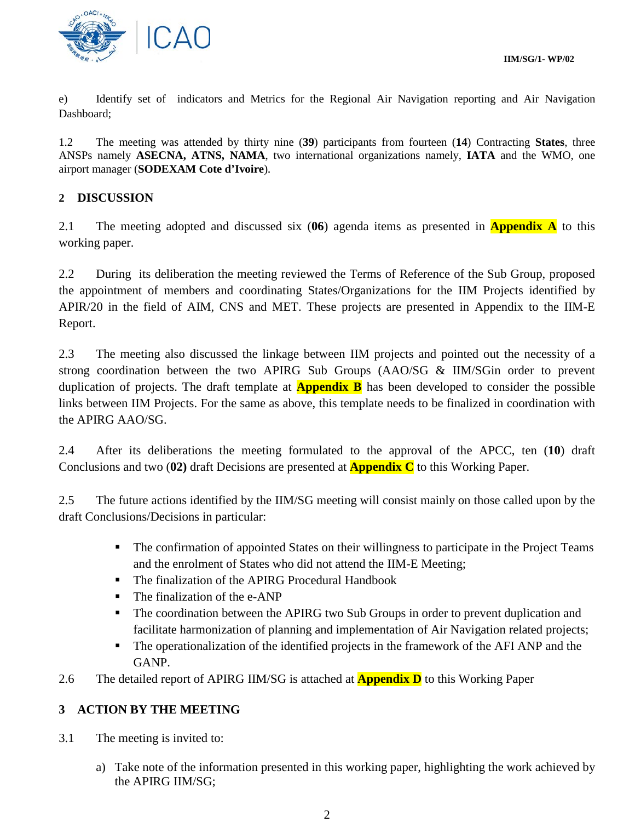e) Identify set of indicators and Metrics for the Regional Air Navigation reporting and Air Navigation Dashboard;

1.2 The meeting was attended by thirty nine (**39**) participants from fourteen (**14**) Contracting **States**, three ANSPs namely **ASECNA, ATNS, NAMA**, two international organizations namely, **IATA** and the WMO, one airport manager (**SODEXAM Cote d'Ivoire**)*.*

# **2 DISCUSSION**

2.1 The meeting adopted and discussed six (**06**) agenda items as presented in **Appendix A** to this working paper.

2.2 During its deliberation the meeting reviewed the Terms of Reference of the Sub Group, proposed the appointment of members and coordinating States/Organizations for the IIM Projects identified by APIR/20 in the field of AIM, CNS and MET. These projects are presented in Appendix to the IIM-E Report.

2.3 The meeting also discussed the linkage between IIM projects and pointed out the necessity of a strong coordination between the two APIRG Sub Groups (AAO/SG & IIM/SGin order to prevent duplication of projects. The draft template at **Appendix B** has been developed to consider the possible links between IIM Projects. For the same as above, this template needs to be finalized in coordination with the APIRG AAO/SG.

2.4 After its deliberations the meeting formulated to the approval of the APCC, ten (**10**) draft Conclusions and two (**02)** draft Decisions are presented at **Appendix C** to this Working Paper.

2.5 The future actions identified by the IIM/SG meeting will consist mainly on those called upon by the draft Conclusions/Decisions in particular:

- The confirmation of appointed States on their willingness to participate in the Project Teams and the enrolment of States who did not attend the IIM-E Meeting;
- The finalization of the APIRG Procedural Handbook
- The finalization of the e-ANP
- The coordination between the APIRG two Sub Groups in order to prevent duplication and facilitate harmonization of planning and implementation of Air Navigation related projects;
- The operationalization of the identified projects in the framework of the AFI ANP and the GANP.
- 2.6 The detailed report of APIRG IIM/SG is attached at **Appendix D** to this Working Paper

# **3 ACTION BY THE MEETING**

- 3.1 The meeting is invited to:
	- a) Take note of the information presented in this working paper, highlighting the work achieved by the APIRG IIM/SG;